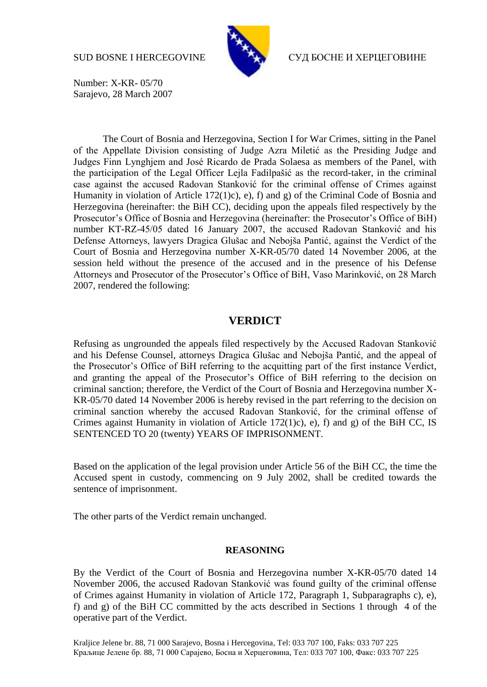

SUD BOSNE I HERCEGOVINE СУД БОСНЕ И ХЕРЦЕГОВИНЕ

Number: X-KR- 05/70 Sarajevo, 28 March 2007

The Court of Bosnia and Herzegovina, Section I for War Crimes, sitting in the Panel of the Appellate Division consisting of Judge Azra Miletić as the Presiding Judge and Judges Finn Lynghjem and José Ricardo de Prada Solaesa as members of the Panel, with the participation of the Legal Officer Lejla Fadilpašić as the record-taker, in the criminal case against the accused Radovan Stanković for the criminal offense of Crimes against Humanity in violation of Article 172(1)c), e), f) and g) of the Criminal Code of Bosnia and Herzegovina (hereinafter: the BiH CC), deciding upon the appeals filed respectively by the Prosecutor's Office of Bosnia and Herzegovina (hereinafter: the Prosecutor's Office of BiH) number KT-RZ-45/05 dated 16 January 2007, the accused Radovan Stanković and his Defense Attorneys, lawyers Dragica Glušac and Nebojša Pantić, against the Verdict of the Court of Bosnia and Herzegovina number X-KR-05/70 dated 14 November 2006, at the session held without the presence of the accused and in the presence of his Defense Attorneys and Prosecutor of the Prosecutor's Office of BiH, Vaso Marinković, on 28 March 2007, rendered the following:

## **VERDICT**

Refusing as ungrounded the appeals filed respectively by the Accused Radovan Stanković and his Defense Counsel, attorneys Dragica Glušac and Nebojša Pantić, and the appeal of the Prosecutor's Office of BiH referring to the acquitting part of the first instance Verdict, and granting the appeal of the Prosecutor's Office of BiH referring to the decision on criminal sanction; therefore, the Verdict of the Court of Bosnia and Herzegovina number X-KR-05/70 dated 14 November 2006 is hereby revised in the part referring to the decision on criminal sanction whereby the accused Radovan Stanković, for the criminal offense of Crimes against Humanity in violation of Article 172(1)c), e), f) and g) of the BiH CC, IS SENTENCED TO 20 (twenty) YEARS OF IMPRISONMENT.

Based on the application of the legal provision under Article 56 of the BiH CC, the time the Accused spent in custody, commencing on 9 July 2002, shall be credited towards the sentence of imprisonment.

The other parts of the Verdict remain unchanged.

## **REASONING**

By the Verdict of the Court of Bosnia and Herzegovina number X-KR-05/70 dated 14 November 2006, the accused Radovan Stanković was found guilty of the criminal offense of Crimes against Humanity in violation of Article 172, Paragraph 1, Subparagraphs c), e), f) and g) of the BiH CC committed by the acts described in Sections 1 through 4 of the operative part of the Verdict.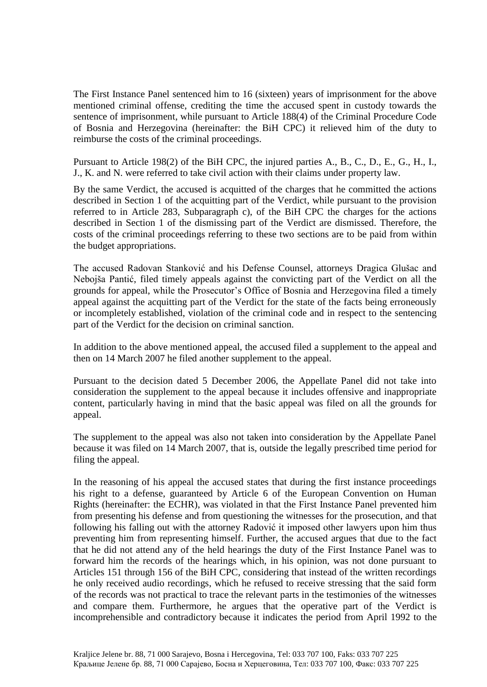The First Instance Panel sentenced him to 16 (sixteen) years of imprisonment for the above mentioned criminal offense, crediting the time the accused spent in custody towards the sentence of imprisonment, while pursuant to Article 188(4) of the Criminal Procedure Code of Bosnia and Herzegovina (hereinafter: the BiH CPC) it relieved him of the duty to reimburse the costs of the criminal proceedings.

Pursuant to Article 198(2) of the BiH CPC, the injured parties A., B., C., D., E., G., H., I., J., K. and N. were referred to take civil action with their claims under property law.

By the same Verdict, the accused is acquitted of the charges that he committed the actions described in Section 1 of the acquitting part of the Verdict, while pursuant to the provision referred to in Article 283, Subparagraph c), of the BiH CPC the charges for the actions described in Section 1 of the dismissing part of the Verdict are dismissed. Therefore, the costs of the criminal proceedings referring to these two sections are to be paid from within the budget appropriations.

The accused Radovan Stanković and his Defense Counsel, attorneys Dragica Glušac and Nebojša Pantić, filed timely appeals against the convicting part of the Verdict on all the grounds for appeal, while the Prosecutor's Office of Bosnia and Herzegovina filed a timely appeal against the acquitting part of the Verdict for the state of the facts being erroneously or incompletely established, violation of the criminal code and in respect to the sentencing part of the Verdict for the decision on criminal sanction.

In addition to the above mentioned appeal, the accused filed a supplement to the appeal and then on 14 March 2007 he filed another supplement to the appeal.

Pursuant to the decision dated 5 December 2006, the Appellate Panel did not take into consideration the supplement to the appeal because it includes offensive and inappropriate content, particularly having in mind that the basic appeal was filed on all the grounds for appeal.

The supplement to the appeal was also not taken into consideration by the Appellate Panel because it was filed on 14 March 2007, that is, outside the legally prescribed time period for filing the appeal.

In the reasoning of his appeal the accused states that during the first instance proceedings his right to a defense, guaranteed by Article 6 of the European Convention on Human Rights (hereinafter: the ECHR), was violated in that the First Instance Panel prevented him from presenting his defense and from questioning the witnesses for the prosecution, and that following his falling out with the attorney Radović it imposed other lawyers upon him thus preventing him from representing himself. Further, the accused argues that due to the fact that he did not attend any of the held hearings the duty of the First Instance Panel was to forward him the records of the hearings which, in his opinion, was not done pursuant to Articles 151 through 156 of the BiH CPC, considering that instead of the written recordings he only received audio recordings, which he refused to receive stressing that the said form of the records was not practical to trace the relevant parts in the testimonies of the witnesses and compare them. Furthermore, he argues that the operative part of the Verdict is incomprehensible and contradictory because it indicates the period from April 1992 to the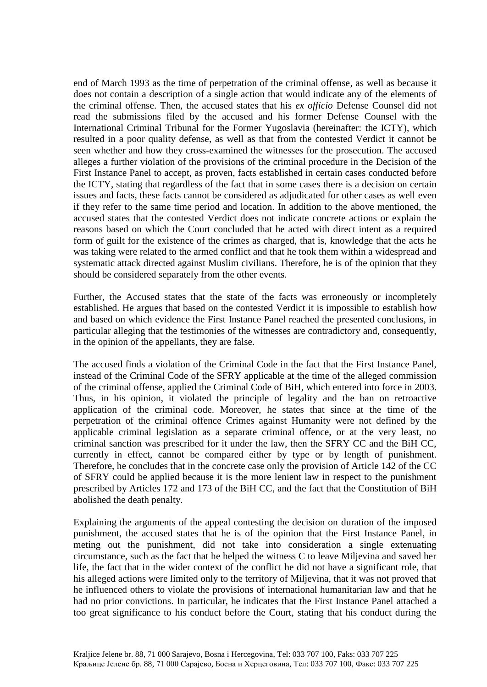end of March 1993 as the time of perpetration of the criminal offense, as well as because it does not contain a description of a single action that would indicate any of the elements of the criminal offense. Then, the accused states that his *ex officio* Defense Counsel did not read the submissions filed by the accused and his former Defense Counsel with the International Criminal Tribunal for the Former Yugoslavia (hereinafter: the ICTY), which resulted in a poor quality defense, as well as that from the contested Verdict it cannot be seen whether and how they cross-examined the witnesses for the prosecution. The accused alleges a further violation of the provisions of the criminal procedure in the Decision of the First Instance Panel to accept, as proven, facts established in certain cases conducted before the ICTY, stating that regardless of the fact that in some cases there is a decision on certain issues and facts, these facts cannot be considered as adjudicated for other cases as well even if they refer to the same time period and location. In addition to the above mentioned, the accused states that the contested Verdict does not indicate concrete actions or explain the reasons based on which the Court concluded that he acted with direct intent as a required form of guilt for the existence of the crimes as charged, that is, knowledge that the acts he was taking were related to the armed conflict and that he took them within a widespread and systematic attack directed against Muslim civilians. Therefore, he is of the opinion that they should be considered separately from the other events.

Further, the Accused states that the state of the facts was erroneously or incompletely established. He argues that based on the contested Verdict it is impossible to establish how and based on which evidence the First Instance Panel reached the presented conclusions, in particular alleging that the testimonies of the witnesses are contradictory and, consequently, in the opinion of the appellants, they are false.

The accused finds a violation of the Criminal Code in the fact that the First Instance Panel, instead of the Criminal Code of the SFRY applicable at the time of the alleged commission of the criminal offense, applied the Criminal Code of BiH, which entered into force in 2003. Thus, in his opinion, it violated the principle of legality and the ban on retroactive application of the criminal code. Moreover, he states that since at the time of the perpetration of the criminal offence Crimes against Humanity were not defined by the applicable criminal legislation as a separate criminal offence, or at the very least, no criminal sanction was prescribed for it under the law, then the SFRY CC and the BiH CC, currently in effect, cannot be compared either by type or by length of punishment. Therefore, he concludes that in the concrete case only the provision of Article 142 of the CC of SFRY could be applied because it is the more lenient law in respect to the punishment prescribed by Articles 172 and 173 of the BiH CC, and the fact that the Constitution of BiH abolished the death penalty.

Explaining the arguments of the appeal contesting the decision on duration of the imposed punishment, the accused states that he is of the opinion that the First Instance Panel, in meting out the punishment, did not take into consideration a single extenuating circumstance, such as the fact that he helped the witness C to leave Miljevina and saved her life, the fact that in the wider context of the conflict he did not have a significant role, that his alleged actions were limited only to the territory of Miljevina, that it was not proved that he influenced others to violate the provisions of international humanitarian law and that he had no prior convictions. In particular, he indicates that the First Instance Panel attached a too great significance to his conduct before the Court, stating that his conduct during the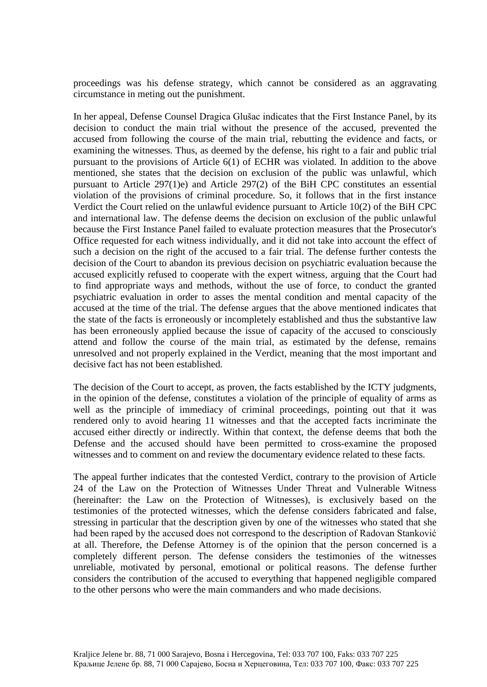proceedings was his defense strategy, which cannot be considered as an aggravating circumstance in meting out the punishment.

In her appeal, Defense Counsel Dragica Glušac indicates that the First Instance Panel, by its decision to conduct the main trial without the presence of the accused, prevented the accused from following the course of the main trial, rebutting the evidence and facts, or examining the witnesses. Thus, as deemed by the defense, his right to a fair and public trial pursuant to the provisions of Article 6(1) of ECHR was violated. In addition to the above mentioned, she states that the decision on exclusion of the public was unlawful, which pursuant to Article 297(1)e) and Article 297(2) of the BiH CPC constitutes an essential violation of the provisions of criminal procedure. So, it follows that in the first instance Verdict the Court relied on the unlawful evidence pursuant to Article 10(2) of the BiH CPC and international law. The defense deems the decision on exclusion of the public unlawful because the First Instance Panel failed to evaluate protection measures that the Prosecutor's Office requested for each witness individually, and it did not take into account the effect of such a decision on the right of the accused to a fair trial. The defense further contests the decision of the Court to abandon its previous decision on psychiatric evaluation because the accused explicitly refused to cooperate with the expert witness, arguing that the Court had to find appropriate ways and methods, without the use of force, to conduct the granted psychiatric evaluation in order to asses the mental condition and mental capacity of the accused at the time of the trial. The defense argues that the above mentioned indicates that the state of the facts is erroneously or incompletely established and thus the substantive law has been erroneously applied because the issue of capacity of the accused to consciously attend and follow the course of the main trial, as estimated by the defense, remains unresolved and not properly explained in the Verdict, meaning that the most important and decisive fact has not been established.

The decision of the Court to accept, as proven, the facts established by the ICTY judgments, in the opinion of the defense, constitutes a violation of the principle of equality of arms as well as the principle of immediacy of criminal proceedings, pointing out that it was rendered only to avoid hearing 11 witnesses and that the accepted facts incriminate the accused either directly or indirectly. Within that context, the defense deems that both the Defense and the accused should have been permitted to cross-examine the proposed witnesses and to comment on and review the documentary evidence related to these facts.

The appeal further indicates that the contested Verdict, contrary to the provision of Article 24 of the Law on the Protection of Witnesses Under Threat and Vulnerable Witness (hereinafter: the Law on the Protection of Witnesses), is exclusively based on the testimonies of the protected witnesses, which the defense considers fabricated and false, stressing in particular that the description given by one of the witnesses who stated that she had been raped by the accused does not correspond to the description of Radovan Stanković at all. Therefore, the Defense Attorney is of the opinion that the person concerned is a completely different person. The defense considers the testimonies of the witnesses unreliable, motivated by personal, emotional or political reasons. The defense further considers the contribution of the accused to everything that happened negligible compared to the other persons who were the main commanders and who made decisions.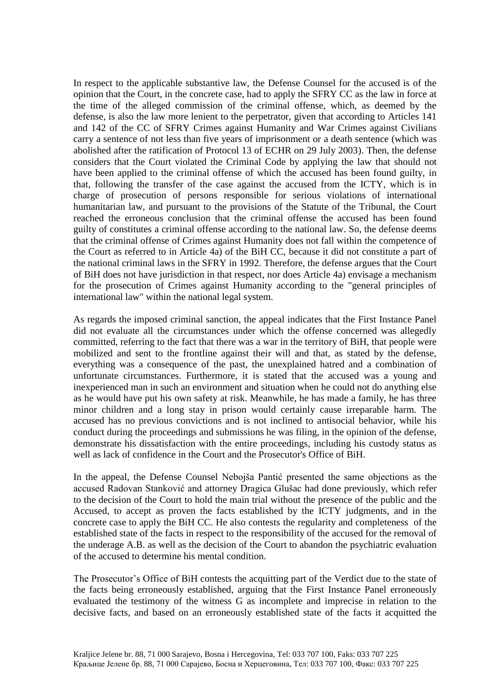In respect to the applicable substantive law, the Defense Counsel for the accused is of the opinion that the Court, in the concrete case, had to apply the SFRY CC as the law in force at the time of the alleged commission of the criminal offense, which, as deemed by the defense, is also the law more lenient to the perpetrator, given that according to Articles 141 and 142 of the CC of SFRY Crimes against Humanity and War Crimes against Civilians carry a sentence of not less than five years of imprisonment or a death sentence (which was abolished after the ratification of Protocol 13 of ECHR on 29 July 2003). Then, the defense considers that the Court violated the Criminal Code by applying the law that should not have been applied to the criminal offense of which the accused has been found guilty, in that, following the transfer of the case against the accused from the ICTY, which is in charge of prosecution of persons responsible for serious violations of international humanitarian law, and pursuant to the provisions of the Statute of the Tribunal, the Court reached the erroneous conclusion that the criminal offense the accused has been found guilty of constitutes a criminal offense according to the national law. So, the defense deems that the criminal offense of Crimes against Humanity does not fall within the competence of the Court as referred to in Article 4a) of the BiH CC, because it did not constitute a part of the national criminal laws in the SFRY in 1992. Therefore, the defense argues that the Court of BiH does not have jurisdiction in that respect, nor does Article 4a) envisage a mechanism for the prosecution of Crimes against Humanity according to the "general principles of international law" within the national legal system.

As regards the imposed criminal sanction, the appeal indicates that the First Instance Panel did not evaluate all the circumstances under which the offense concerned was allegedly committed, referring to the fact that there was a war in the territory of BiH, that people were mobilized and sent to the frontline against their will and that, as stated by the defense, everything was a consequence of the past, the unexplained hatred and a combination of unfortunate circumstances. Furthermore, it is stated that the accused was a young and inexperienced man in such an environment and situation when he could not do anything else as he would have put his own safety at risk. Meanwhile, he has made a family, he has three minor children and a long stay in prison would certainly cause irreparable harm. The accused has no previous convictions and is not inclined to antisocial behavior, while his conduct during the proceedings and submissions he was filing, in the opinion of the defense, demonstrate his dissatisfaction with the entire proceedings, including his custody status as well as lack of confidence in the Court and the Prosecutor's Office of BiH.

In the appeal, the Defense Counsel Nebojša Pantić presented the same objections as the accused Radovan Stanković and attorney Dragica Glušac had done previously, which refer to the decision of the Court to hold the main trial without the presence of the public and the Accused, to accept as proven the facts established by the ICTY judgments, and in the concrete case to apply the BiH CC. He also contests the regularity and completeness of the established state of the facts in respect to the responsibility of the accused for the removal of the underage A.B. as well as the decision of the Court to abandon the psychiatric evaluation of the accused to determine his mental condition.

The Prosecutor's Office of BiH contests the acquitting part of the Verdict due to the state of the facts being erroneously established, arguing that the First Instance Panel erroneously evaluated the testimony of the witness G as incomplete and imprecise in relation to the decisive facts, and based on an erroneously established state of the facts it acquitted the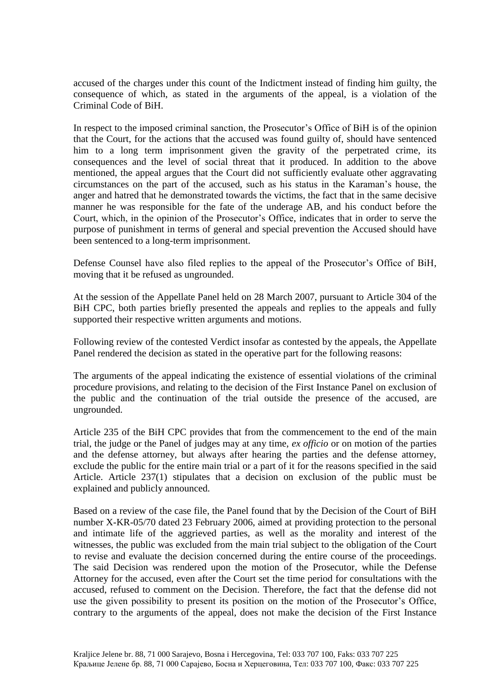accused of the charges under this count of the Indictment instead of finding him guilty, the consequence of which, as stated in the arguments of the appeal, is a violation of the Criminal Code of BiH.

In respect to the imposed criminal sanction, the Prosecutor's Office of BiH is of the opinion that the Court, for the actions that the accused was found guilty of, should have sentenced him to a long term imprisonment given the gravity of the perpetrated crime, its consequences and the level of social threat that it produced. In addition to the above mentioned, the appeal argues that the Court did not sufficiently evaluate other aggravating circumstances on the part of the accused, such as his status in the Karaman's house, the anger and hatred that he demonstrated towards the victims, the fact that in the same decisive manner he was responsible for the fate of the underage AB, and his conduct before the Court, which, in the opinion of the Prosecutor's Office, indicates that in order to serve the purpose of punishment in terms of general and special prevention the Accused should have been sentenced to a long-term imprisonment.

Defense Counsel have also filed replies to the appeal of the Prosecutor's Office of BiH, moving that it be refused as ungrounded.

At the session of the Appellate Panel held on 28 March 2007, pursuant to Article 304 of the BiH CPC, both parties briefly presented the appeals and replies to the appeals and fully supported their respective written arguments and motions.

Following review of the contested Verdict insofar as contested by the appeals, the Appellate Panel rendered the decision as stated in the operative part for the following reasons:

The arguments of the appeal indicating the existence of essential violations of the criminal procedure provisions, and relating to the decision of the First Instance Panel on exclusion of the public and the continuation of the trial outside the presence of the accused, are ungrounded.

Article 235 of the BiH CPC provides that from the commencement to the end of the main trial, the judge or the Panel of judges may at any time, *ex officio* or on motion of the parties and the defense attorney, but always after hearing the parties and the defense attorney, exclude the public for the entire main trial or a part of it for the reasons specified in the said Article. Article 237(1) stipulates that a decision on exclusion of the public must be explained and publicly announced.

Based on a review of the case file, the Panel found that by the Decision of the Court of BiH number X-KR-05/70 dated 23 February 2006, aimed at providing protection to the personal and intimate life of the aggrieved parties, as well as the morality and interest of the witnesses, the public was excluded from the main trial subject to the obligation of the Court to revise and evaluate the decision concerned during the entire course of the proceedings. The said Decision was rendered upon the motion of the Prosecutor, while the Defense Attorney for the accused, even after the Court set the time period for consultations with the accused, refused to comment on the Decision. Therefore, the fact that the defense did not use the given possibility to present its position on the motion of the Prosecutor's Office, contrary to the arguments of the appeal, does not make the decision of the First Instance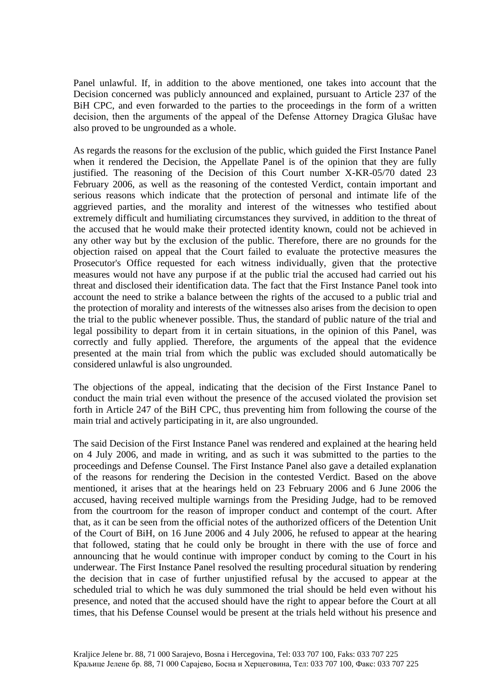Panel unlawful. If, in addition to the above mentioned, one takes into account that the Decision concerned was publicly announced and explained, pursuant to Article 237 of the BiH CPC, and even forwarded to the parties to the proceedings in the form of a written decision, then the arguments of the appeal of the Defense Attorney Dragica Glušac have also proved to be ungrounded as a whole.

As regards the reasons for the exclusion of the public, which guided the First Instance Panel when it rendered the Decision, the Appellate Panel is of the opinion that they are fully justified. The reasoning of the Decision of this Court number X-KR-05/70 dated 23 February 2006, as well as the reasoning of the contested Verdict, contain important and serious reasons which indicate that the protection of personal and intimate life of the aggrieved parties, and the morality and interest of the witnesses who testified about extremely difficult and humiliating circumstances they survived, in addition to the threat of the accused that he would make their protected identity known, could not be achieved in any other way but by the exclusion of the public. Therefore, there are no grounds for the objection raised on appeal that the Court failed to evaluate the protective measures the Prosecutor's Office requested for each witness individually, given that the protective measures would not have any purpose if at the public trial the accused had carried out his threat and disclosed their identification data. The fact that the First Instance Panel took into account the need to strike a balance between the rights of the accused to a public trial and the protection of morality and interests of the witnesses also arises from the decision to open the trial to the public whenever possible. Thus, the standard of public nature of the trial and legal possibility to depart from it in certain situations, in the opinion of this Panel, was correctly and fully applied. Therefore, the arguments of the appeal that the evidence presented at the main trial from which the public was excluded should automatically be considered unlawful is also ungrounded.

The objections of the appeal, indicating that the decision of the First Instance Panel to conduct the main trial even without the presence of the accused violated the provision set forth in Article 247 of the BiH CPC, thus preventing him from following the course of the main trial and actively participating in it, are also ungrounded.

The said Decision of the First Instance Panel was rendered and explained at the hearing held on 4 July 2006, and made in writing, and as such it was submitted to the parties to the proceedings and Defense Counsel. The First Instance Panel also gave a detailed explanation of the reasons for rendering the Decision in the contested Verdict. Based on the above mentioned, it arises that at the hearings held on 23 February 2006 and 6 June 2006 the accused, having received multiple warnings from the Presiding Judge, had to be removed from the courtroom for the reason of improper conduct and contempt of the court. After that, as it can be seen from the official notes of the authorized officers of the Detention Unit of the Court of BiH, on 16 June 2006 and 4 July 2006, he refused to appear at the hearing that followed, stating that he could only be brought in there with the use of force and announcing that he would continue with improper conduct by coming to the Court in his underwear. The First Instance Panel resolved the resulting procedural situation by rendering the decision that in case of further unjustified refusal by the accused to appear at the scheduled trial to which he was duly summoned the trial should be held even without his presence, and noted that the accused should have the right to appear before the Court at all times, that his Defense Counsel would be present at the trials held without his presence and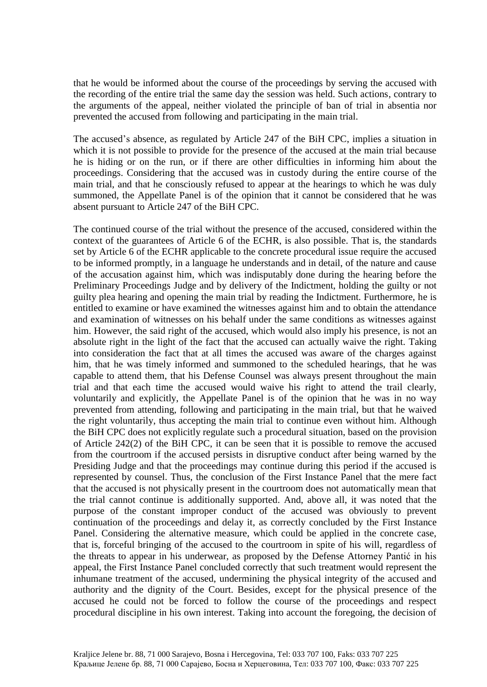that he would be informed about the course of the proceedings by serving the accused with the recording of the entire trial the same day the session was held. Such actions, contrary to the arguments of the appeal, neither violated the principle of ban of trial in absentia nor prevented the accused from following and participating in the main trial.

The accused's absence, as regulated by Article 247 of the BiH CPC, implies a situation in which it is not possible to provide for the presence of the accused at the main trial because he is hiding or on the run, or if there are other difficulties in informing him about the proceedings. Considering that the accused was in custody during the entire course of the main trial, and that he consciously refused to appear at the hearings to which he was duly summoned, the Appellate Panel is of the opinion that it cannot be considered that he was absent pursuant to Article 247 of the BiH CPC.

The continued course of the trial without the presence of the accused, considered within the context of the guarantees of Article 6 of the ECHR, is also possible. That is, the standards set by Article 6 of the ECHR applicable to the concrete procedural issue require the accused to be informed promptly, in a language he understands and in detail, of the nature and cause of the accusation against him, which was indisputably done during the hearing before the Preliminary Proceedings Judge and by delivery of the Indictment, holding the guilty or not guilty plea hearing and opening the main trial by reading the Indictment. Furthermore, he is entitled to examine or have examined the witnesses against him and to obtain the attendance and examination of witnesses on his behalf under the same conditions as witnesses against him. However, the said right of the accused, which would also imply his presence, is not an absolute right in the light of the fact that the accused can actually waive the right. Taking into consideration the fact that at all times the accused was aware of the charges against him, that he was timely informed and summoned to the scheduled hearings, that he was capable to attend them, that his Defense Counsel was always present throughout the main trial and that each time the accused would waive his right to attend the trail clearly, voluntarily and explicitly, the Appellate Panel is of the opinion that he was in no way prevented from attending, following and participating in the main trial, but that he waived the right voluntarily, thus accepting the main trial to continue even without him. Although the BiH CPC does not explicitly regulate such a procedural situation, based on the provision of Article 242(2) of the BiH CPC, it can be seen that it is possible to remove the accused from the courtroom if the accused persists in disruptive conduct after being warned by the Presiding Judge and that the proceedings may continue during this period if the accused is represented by counsel. Thus, the conclusion of the First Instance Panel that the mere fact that the accused is not physically present in the courtroom does not automatically mean that the trial cannot continue is additionally supported. And, above all, it was noted that the purpose of the constant improper conduct of the accused was obviously to prevent continuation of the proceedings and delay it, as correctly concluded by the First Instance Panel. Considering the alternative measure, which could be applied in the concrete case, that is, forceful bringing of the accused to the courtroom in spite of his will, regardless of the threats to appear in his underwear, as proposed by the Defense Attorney Pantić in his appeal, the First Instance Panel concluded correctly that such treatment would represent the inhumane treatment of the accused, undermining the physical integrity of the accused and authority and the dignity of the Court. Besides, except for the physical presence of the accused he could not be forced to follow the course of the proceedings and respect procedural discipline in his own interest. Taking into account the foregoing, the decision of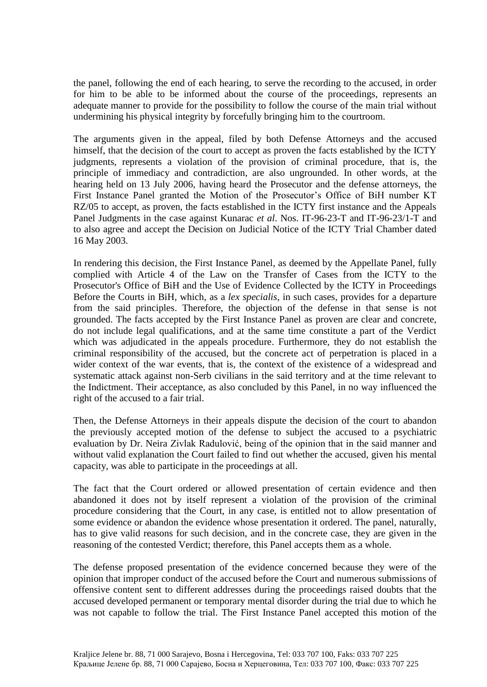the panel, following the end of each hearing, to serve the recording to the accused, in order for him to be able to be informed about the course of the proceedings, represents an adequate manner to provide for the possibility to follow the course of the main trial without undermining his physical integrity by forcefully bringing him to the courtroom.

The arguments given in the appeal, filed by both Defense Attorneys and the accused himself, that the decision of the court to accept as proven the facts established by the ICTY judgments, represents a violation of the provision of criminal procedure, that is, the principle of immediacy and contradiction, are also ungrounded. In other words, at the hearing held on 13 July 2006, having heard the Prosecutor and the defense attorneys, the First Instance Panel granted the Motion of the Prosecutor's Office of BiH number KT RZ/05 to accept, as proven, the facts established in the ICTY first instance and the Appeals Panel Judgments in the case against Kunarac *et al*. Nos. IT-96-23-T and IT-96-23/1-T and to also agree and accept the Decision on Judicial Notice of the ICTY Trial Chamber dated 16 May 2003.

In rendering this decision, the First Instance Panel, as deemed by the Appellate Panel, fully complied with Article 4 of the Law on the Transfer of Cases from the ICTY to the Prosecutor's Office of BiH and the Use of Evidence Collected by the ICTY in Proceedings Before the Courts in BiH, which, as a *lex specialis*, in such cases, provides for a departure from the said principles. Therefore, the objection of the defense in that sense is not grounded. The facts accepted by the First Instance Panel as proven are clear and concrete, do not include legal qualifications, and at the same time constitute a part of the Verdict which was adjudicated in the appeals procedure. Furthermore, they do not establish the criminal responsibility of the accused, but the concrete act of perpetration is placed in a wider context of the war events, that is, the context of the existence of a widespread and systematic attack against non-Serb civilians in the said territory and at the time relevant to the Indictment. Their acceptance, as also concluded by this Panel, in no way influenced the right of the accused to a fair trial.

Then, the Defense Attorneys in their appeals dispute the decision of the court to abandon the previously accepted motion of the defense to subject the accused to a psychiatric evaluation by Dr. Neira Zivlak Radulović, being of the opinion that in the said manner and without valid explanation the Court failed to find out whether the accused, given his mental capacity, was able to participate in the proceedings at all.

The fact that the Court ordered or allowed presentation of certain evidence and then abandoned it does not by itself represent a violation of the provision of the criminal procedure considering that the Court, in any case, is entitled not to allow presentation of some evidence or abandon the evidence whose presentation it ordered. The panel, naturally, has to give valid reasons for such decision, and in the concrete case, they are given in the reasoning of the contested Verdict; therefore, this Panel accepts them as a whole.

The defense proposed presentation of the evidence concerned because they were of the opinion that improper conduct of the accused before the Court and numerous submissions of offensive content sent to different addresses during the proceedings raised doubts that the accused developed permanent or temporary mental disorder during the trial due to which he was not capable to follow the trial. The First Instance Panel accepted this motion of the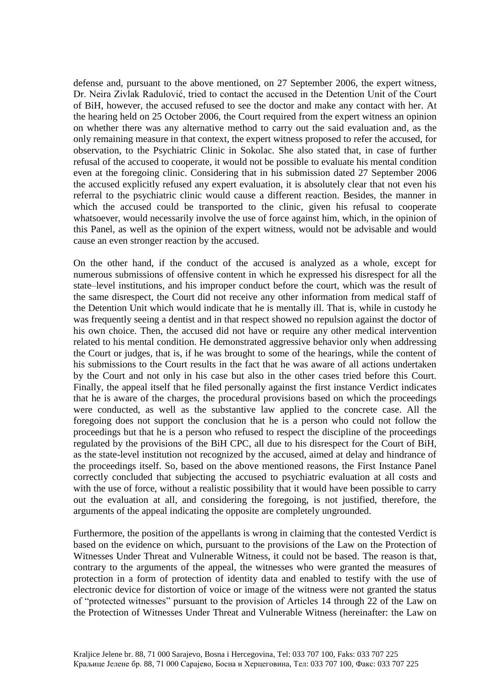defense and, pursuant to the above mentioned, on 27 September 2006, the expert witness, Dr. Neira Zivlak Radulović, tried to contact the accused in the Detention Unit of the Court of BiH, however, the accused refused to see the doctor and make any contact with her. At the hearing held on 25 October 2006, the Court required from the expert witness an opinion on whether there was any alternative method to carry out the said evaluation and, as the only remaining measure in that context, the expert witness proposed to refer the accused, for observation, to the Psychiatric Clinic in Sokolac. She also stated that, in case of further refusal of the accused to cooperate, it would not be possible to evaluate his mental condition even at the foregoing clinic. Considering that in his submission dated 27 September 2006 the accused explicitly refused any expert evaluation, it is absolutely clear that not even his referral to the psychiatric clinic would cause a different reaction. Besides, the manner in which the accused could be transported to the clinic, given his refusal to cooperate whatsoever, would necessarily involve the use of force against him, which, in the opinion of this Panel, as well as the opinion of the expert witness, would not be advisable and would cause an even stronger reaction by the accused.

On the other hand, if the conduct of the accused is analyzed as a whole, except for numerous submissions of offensive content in which he expressed his disrespect for all the state–level institutions, and his improper conduct before the court, which was the result of the same disrespect, the Court did not receive any other information from medical staff of the Detention Unit which would indicate that he is mentally ill. That is, while in custody he was frequently seeing a dentist and in that respect showed no repulsion against the doctor of his own choice. Then, the accused did not have or require any other medical intervention related to his mental condition. He demonstrated aggressive behavior only when addressing the Court or judges, that is, if he was brought to some of the hearings, while the content of his submissions to the Court results in the fact that he was aware of all actions undertaken by the Court and not only in his case but also in the other cases tried before this Court. Finally, the appeal itself that he filed personally against the first instance Verdict indicates that he is aware of the charges, the procedural provisions based on which the proceedings were conducted, as well as the substantive law applied to the concrete case. All the foregoing does not support the conclusion that he is a person who could not follow the proceedings but that he is a person who refused to respect the discipline of the proceedings regulated by the provisions of the BiH CPC, all due to his disrespect for the Court of BiH, as the state-level institution not recognized by the accused, aimed at delay and hindrance of the proceedings itself. So, based on the above mentioned reasons, the First Instance Panel correctly concluded that subjecting the accused to psychiatric evaluation at all costs and with the use of force, without a realistic possibility that it would have been possible to carry out the evaluation at all, and considering the foregoing, is not justified, therefore, the arguments of the appeal indicating the opposite are completely ungrounded.

Furthermore, the position of the appellants is wrong in claiming that the contested Verdict is based on the evidence on which, pursuant to the provisions of the Law on the Protection of Witnesses Under Threat and Vulnerable Witness, it could not be based. The reason is that, contrary to the arguments of the appeal, the witnesses who were granted the measures of protection in a form of protection of identity data and enabled to testify with the use of electronic device for distortion of voice or image of the witness were not granted the status of "protected witnesses" pursuant to the provision of Articles 14 through 22 of the Law on the Protection of Witnesses Under Threat and Vulnerable Witness (hereinafter: the Law on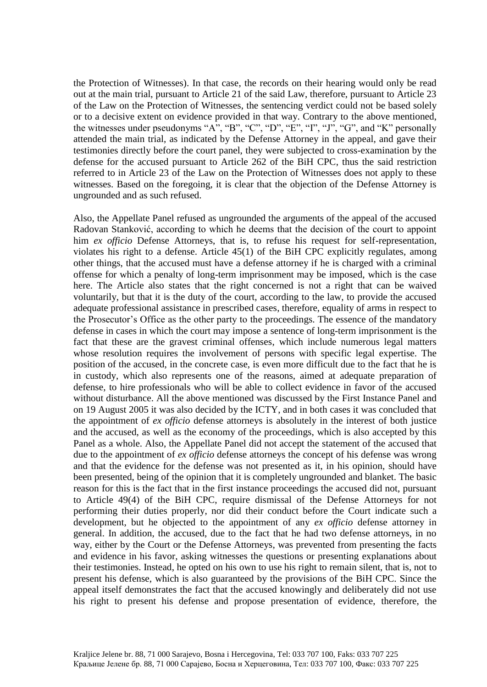the Protection of Witnesses). In that case, the records on their hearing would only be read out at the main trial, pursuant to Article 21 of the said Law, therefore, pursuant to Article 23 of the Law on the Protection of Witnesses, the sentencing verdict could not be based solely or to a decisive extent on evidence provided in that way. Contrary to the above mentioned, the witnesses under pseudonyms "A", "B", "C", "D", "E", "I", "J", "G", and "K" personally attended the main trial, as indicated by the Defense Attorney in the appeal, and gave their testimonies directly before the court panel, they were subjected to cross-examination by the defense for the accused pursuant to Article 262 of the BiH CPC, thus the said restriction referred to in Article 23 of the Law on the Protection of Witnesses does not apply to these witnesses. Based on the foregoing, it is clear that the objection of the Defense Attorney is ungrounded and as such refused.

Also, the Appellate Panel refused as ungrounded the arguments of the appeal of the accused Radovan Stanković, according to which he deems that the decision of the court to appoint him *ex officio* Defense Attorneys, that is, to refuse his request for self-representation, violates his right to a defense. Article 45(1) of the BiH CPC explicitly regulates, among other things, that the accused must have a defense attorney if he is charged with a criminal offense for which a penalty of long-term imprisonment may be imposed, which is the case here. The Article also states that the right concerned is not a right that can be waived voluntarily, but that it is the duty of the court, according to the law, to provide the accused adequate professional assistance in prescribed cases, therefore, equality of arms in respect to the Prosecutor's Office as the other party to the proceedings. The essence of the mandatory defense in cases in which the court may impose a sentence of long-term imprisonment is the fact that these are the gravest criminal offenses, which include numerous legal matters whose resolution requires the involvement of persons with specific legal expertise. The position of the accused, in the concrete case, is even more difficult due to the fact that he is in custody, which also represents one of the reasons, aimed at adequate preparation of defense, to hire professionals who will be able to collect evidence in favor of the accused without disturbance. All the above mentioned was discussed by the First Instance Panel and on 19 August 2005 it was also decided by the ICTY, and in both cases it was concluded that the appointment of *ex officio* defense attorneys is absolutely in the interest of both justice and the accused, as well as the economy of the proceedings, which is also accepted by this Panel as a whole. Also, the Appellate Panel did not accept the statement of the accused that due to the appointment of *ex officio* defense attorneys the concept of his defense was wrong and that the evidence for the defense was not presented as it, in his opinion, should have been presented, being of the opinion that it is completely ungrounded and blanket. The basic reason for this is the fact that in the first instance proceedings the accused did not, pursuant to Article 49(4) of the BiH CPC, require dismissal of the Defense Attorneys for not performing their duties properly, nor did their conduct before the Court indicate such a development, but he objected to the appointment of any *ex officio* defense attorney in general. In addition, the accused, due to the fact that he had two defense attorneys, in no way, either by the Court or the Defense Attorneys, was prevented from presenting the facts and evidence in his favor, asking witnesses the questions or presenting explanations about their testimonies. Instead, he opted on his own to use his right to remain silent, that is, not to present his defense, which is also guaranteed by the provisions of the BiH CPC. Since the appeal itself demonstrates the fact that the accused knowingly and deliberately did not use his right to present his defense and propose presentation of evidence, therefore, the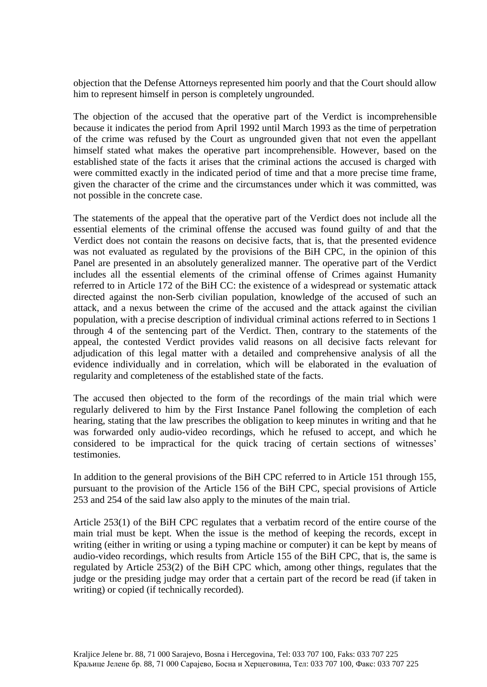objection that the Defense Attorneys represented him poorly and that the Court should allow him to represent himself in person is completely ungrounded.

The objection of the accused that the operative part of the Verdict is incomprehensible because it indicates the period from April 1992 until March 1993 as the time of perpetration of the crime was refused by the Court as ungrounded given that not even the appellant himself stated what makes the operative part incomprehensible. However, based on the established state of the facts it arises that the criminal actions the accused is charged with were committed exactly in the indicated period of time and that a more precise time frame, given the character of the crime and the circumstances under which it was committed, was not possible in the concrete case.

The statements of the appeal that the operative part of the Verdict does not include all the essential elements of the criminal offense the accused was found guilty of and that the Verdict does not contain the reasons on decisive facts, that is, that the presented evidence was not evaluated as regulated by the provisions of the BiH CPC, in the opinion of this Panel are presented in an absolutely generalized manner. The operative part of the Verdict includes all the essential elements of the criminal offense of Crimes against Humanity referred to in Article 172 of the BiH CC: the existence of a widespread or systematic attack directed against the non-Serb civilian population, knowledge of the accused of such an attack, and a nexus between the crime of the accused and the attack against the civilian population, with a precise description of individual criminal actions referred to in Sections 1 through 4 of the sentencing part of the Verdict. Then, contrary to the statements of the appeal, the contested Verdict provides valid reasons on all decisive facts relevant for adjudication of this legal matter with a detailed and comprehensive analysis of all the evidence individually and in correlation, which will be elaborated in the evaluation of regularity and completeness of the established state of the facts.

The accused then objected to the form of the recordings of the main trial which were regularly delivered to him by the First Instance Panel following the completion of each hearing, stating that the law prescribes the obligation to keep minutes in writing and that he was forwarded only audio-video recordings, which he refused to accept, and which he considered to be impractical for the quick tracing of certain sections of witnesses' testimonies.

In addition to the general provisions of the BiH CPC referred to in Article 151 through 155, pursuant to the provision of the Article 156 of the BiH CPC, special provisions of Article 253 and 254 of the said law also apply to the minutes of the main trial.

Article 253(1) of the BiH CPC regulates that a verbatim record of the entire course of the main trial must be kept. When the issue is the method of keeping the records, except in writing (either in writing or using a typing machine or computer) it can be kept by means of audio-video recordings, which results from Article 155 of the BiH CPC, that is, the same is regulated by Article 253(2) of the BiH CPC which, among other things, regulates that the judge or the presiding judge may order that a certain part of the record be read (if taken in writing) or copied (if technically recorded).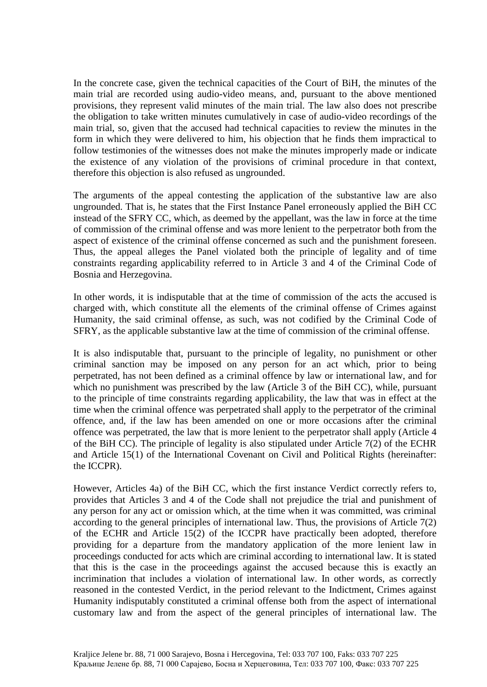In the concrete case, given the technical capacities of the Court of BiH, the minutes of the main trial are recorded using audio-video means, and, pursuant to the above mentioned provisions, they represent valid minutes of the main trial. The law also does not prescribe the obligation to take written minutes cumulatively in case of audio-video recordings of the main trial, so, given that the accused had technical capacities to review the minutes in the form in which they were delivered to him, his objection that he finds them impractical to follow testimonies of the witnesses does not make the minutes improperly made or indicate the existence of any violation of the provisions of criminal procedure in that context, therefore this objection is also refused as ungrounded.

The arguments of the appeal contesting the application of the substantive law are also ungrounded. That is, he states that the First Instance Panel erroneously applied the BiH CC instead of the SFRY CC, which, as deemed by the appellant, was the law in force at the time of commission of the criminal offense and was more lenient to the perpetrator both from the aspect of existence of the criminal offense concerned as such and the punishment foreseen. Thus, the appeal alleges the Panel violated both the principle of legality and of time constraints regarding applicability referred to in Article 3 and 4 of the Criminal Code of Bosnia and Herzegovina.

In other words, it is indisputable that at the time of commission of the acts the accused is charged with, which constitute all the elements of the criminal offense of Crimes against Humanity, the said criminal offense, as such, was not codified by the Criminal Code of SFRY, as the applicable substantive law at the time of commission of the criminal offense.

It is also indisputable that, pursuant to the principle of legality, no punishment or other criminal sanction may be imposed on any person for an act which, prior to being perpetrated, has not been defined as a criminal offence by law or international law, and for which no punishment was prescribed by the law (Article 3 of the BiH CC), while, pursuant to the principle of time constraints regarding applicability, the law that was in effect at the time when the criminal offence was perpetrated shall apply to the perpetrator of the criminal offence, and, if the law has been amended on one or more occasions after the criminal offence was perpetrated, the law that is more lenient to the perpetrator shall apply (Article 4 of the BiH CC). The principle of legality is also stipulated under Article 7(2) of the ECHR and Article 15(1) of the International Covenant on Civil and Political Rights (hereinafter: the ICCPR).

However, Articles 4a) of the BiH CC, which the first instance Verdict correctly refers to, provides that Articles 3 and 4 of the Code shall not prejudice the trial and punishment of any person for any act or omission which, at the time when it was committed, was criminal according to the general principles of international law. Thus, the provisions of Article 7(2) of the ECHR and Article 15(2) of the ICCPR have practically been adopted, therefore providing for a departure from the mandatory application of the more lenient law in proceedings conducted for acts which are criminal according to international law. It is stated that this is the case in the proceedings against the accused because this is exactly an incrimination that includes a violation of international law. In other words, as correctly reasoned in the contested Verdict, in the period relevant to the Indictment, Crimes against Humanity indisputably constituted a criminal offense both from the aspect of international customary law and from the aspect of the general principles of international law. The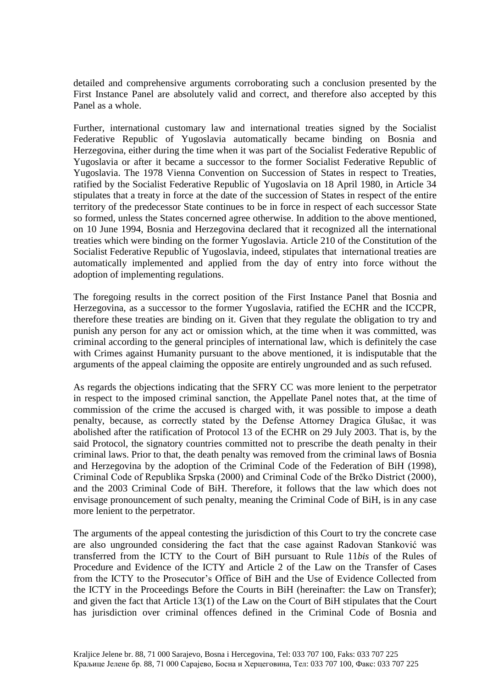detailed and comprehensive arguments corroborating such a conclusion presented by the First Instance Panel are absolutely valid and correct, and therefore also accepted by this Panel as a whole.

Further, international customary law and international treaties signed by the Socialist Federative Republic of Yugoslavia automatically became binding on Bosnia and Herzegovina, either during the time when it was part of the Socialist Federative Republic of Yugoslavia or after it became a successor to the former Socialist Federative Republic of Yugoslavia. The 1978 Vienna Convention on Succession of States in respect to Treaties, ratified by the Socialist Federative Republic of Yugoslavia on 18 April 1980, in Article 34 stipulates that a treaty in force at the date of the succession of States in respect of the entire territory of the predecessor State continues to be in force in respect of each successor State so formed, unless the States concerned agree otherwise. In addition to the above mentioned, on 10 June 1994, Bosnia and Herzegovina declared that it recognized all the international treaties which were binding on the former Yugoslavia. Article 210 of the Constitution of the Socialist Federative Republic of Yugoslavia, indeed, stipulates that international treaties are automatically implemented and applied from the day of entry into force without the adoption of implementing regulations.

The foregoing results in the correct position of the First Instance Panel that Bosnia and Herzegovina, as a successor to the former Yugoslavia, ratified the ECHR and the ICCPR, therefore these treaties are binding on it. Given that they regulate the obligation to try and punish any person for any act or omission which, at the time when it was committed, was criminal according to the general principles of international law, which is definitely the case with Crimes against Humanity pursuant to the above mentioned, it is indisputable that the arguments of the appeal claiming the opposite are entirely ungrounded and as such refused.

As regards the objections indicating that the SFRY CC was more lenient to the perpetrator in respect to the imposed criminal sanction, the Appellate Panel notes that, at the time of commission of the crime the accused is charged with, it was possible to impose a death penalty, because, as correctly stated by the Defense Attorney Dragica Glušac, it was abolished after the ratification of Protocol 13 of the ECHR on 29 July 2003. That is, by the said Protocol, the signatory countries committed not to prescribe the death penalty in their criminal laws. Prior to that, the death penalty was removed from the criminal laws of Bosnia and Herzegovina by the adoption of the Criminal Code of the Federation of BiH (1998), Criminal Code of Republika Srpska (2000) and Criminal Code of the Brčko District (2000), and the 2003 Criminal Code of BiH. Therefore, it follows that the law which does not envisage pronouncement of such penalty, meaning the Criminal Code of BiH, is in any case more lenient to the perpetrator.

The arguments of the appeal contesting the jurisdiction of this Court to try the concrete case are also ungrounded considering the fact that the case against Radovan Stanković was transferred from the ICTY to the Court of BiH pursuant to Rule 11*bis* of the Rules of Procedure and Evidence of the ICTY and Article 2 of the Law on the Transfer of Cases from the ICTY to the Prosecutor's Office of BiH and the Use of Evidence Collected from the ICTY in the Proceedings Before the Courts in BiH (hereinafter: the Law on Transfer); and given the fact that Article 13(1) of the Law on the Court of BiH stipulates that the Court has jurisdiction over criminal offences defined in the Criminal Code of Bosnia and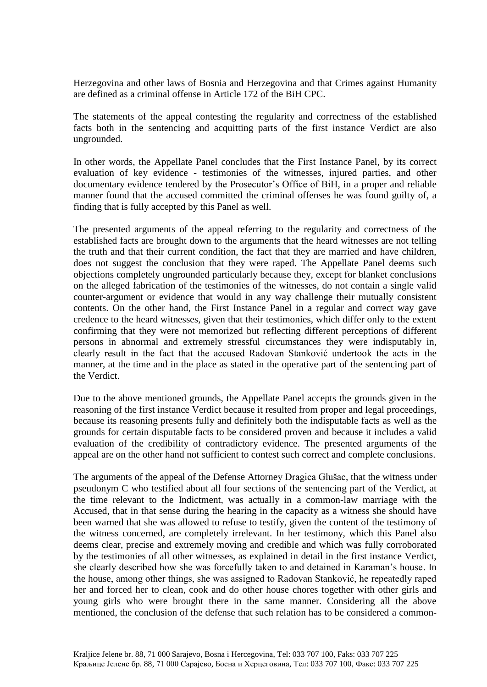Herzegovina and other laws of Bosnia and Herzegovina and that Crimes against Humanity are defined as a criminal offense in Article 172 of the BiH CPC.

The statements of the appeal contesting the regularity and correctness of the established facts both in the sentencing and acquitting parts of the first instance Verdict are also ungrounded.

In other words, the Appellate Panel concludes that the First Instance Panel, by its correct evaluation of key evidence - testimonies of the witnesses, injured parties, and other documentary evidence tendered by the Prosecutor's Office of BiH, in a proper and reliable manner found that the accused committed the criminal offenses he was found guilty of, a finding that is fully accepted by this Panel as well.

The presented arguments of the appeal referring to the regularity and correctness of the established facts are brought down to the arguments that the heard witnesses are not telling the truth and that their current condition, the fact that they are married and have children, does not suggest the conclusion that they were raped. The Appellate Panel deems such objections completely ungrounded particularly because they, except for blanket conclusions on the alleged fabrication of the testimonies of the witnesses, do not contain a single valid counter-argument or evidence that would in any way challenge their mutually consistent contents. On the other hand, the First Instance Panel in a regular and correct way gave credence to the heard witnesses, given that their testimonies, which differ only to the extent confirming that they were not memorized but reflecting different perceptions of different persons in abnormal and extremely stressful circumstances they were indisputably in, clearly result in the fact that the accused Radovan Stanković undertook the acts in the manner, at the time and in the place as stated in the operative part of the sentencing part of the Verdict.

Due to the above mentioned grounds, the Appellate Panel accepts the grounds given in the reasoning of the first instance Verdict because it resulted from proper and legal proceedings, because its reasoning presents fully and definitely both the indisputable facts as well as the grounds for certain disputable facts to be considered proven and because it includes a valid evaluation of the credibility of contradictory evidence. The presented arguments of the appeal are on the other hand not sufficient to contest such correct and complete conclusions.

The arguments of the appeal of the Defense Attorney Dragica Glušac, that the witness under pseudonym C who testified about all four sections of the sentencing part of the Verdict, at the time relevant to the Indictment, was actually in a common-law marriage with the Accused, that in that sense during the hearing in the capacity as a witness she should have been warned that she was allowed to refuse to testify, given the content of the testimony of the witness concerned, are completely irrelevant. In her testimony, which this Panel also deems clear, precise and extremely moving and credible and which was fully corroborated by the testimonies of all other witnesses, as explained in detail in the first instance Verdict, she clearly described how she was forcefully taken to and detained in Karaman's house. In the house, among other things, she was assigned to Radovan Stanković, he repeatedly raped her and forced her to clean, cook and do other house chores together with other girls and young girls who were brought there in the same manner. Considering all the above mentioned, the conclusion of the defense that such relation has to be considered a common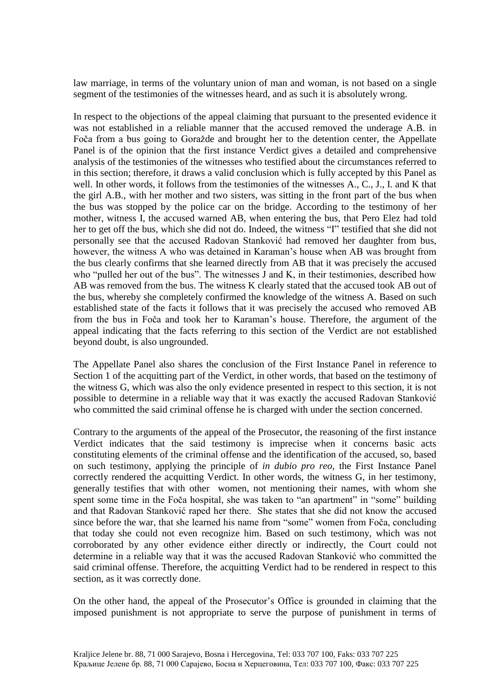law marriage, in terms of the voluntary union of man and woman, is not based on a single segment of the testimonies of the witnesses heard, and as such it is absolutely wrong.

In respect to the objections of the appeal claiming that pursuant to the presented evidence it was not established in a reliable manner that the accused removed the underage A.B. in Foča from a bus going to Goražde and brought her to the detention center, the Appellate Panel is of the opinion that the first instance Verdict gives a detailed and comprehensive analysis of the testimonies of the witnesses who testified about the circumstances referred to in this section; therefore, it draws a valid conclusion which is fully accepted by this Panel as well. In other words, it follows from the testimonies of the witnesses A., C., J., I. and K that the girl A.B., with her mother and two sisters, was sitting in the front part of the bus when the bus was stopped by the police car on the bridge. According to the testimony of her mother, witness I, the accused warned AB, when entering the bus, that Pero Elez had told her to get off the bus, which she did not do. Indeed, the witness "I" testified that she did not personally see that the accused Radovan Stanković had removed her daughter from bus, however, the witness A who was detained in Karaman's house when AB was brought from the bus clearly confirms that she learned directly from AB that it was precisely the accused who "pulled her out of the bus". The witnesses J and K, in their testimonies, described how AB was removed from the bus. The witness K clearly stated that the accused took AB out of the bus, whereby she completely confirmed the knowledge of the witness A. Based on such established state of the facts it follows that it was precisely the accused who removed AB from the bus in Foča and took her to Karaman's house. Therefore, the argument of the appeal indicating that the facts referring to this section of the Verdict are not established beyond doubt, is also ungrounded.

The Appellate Panel also shares the conclusion of the First Instance Panel in reference to Section 1 of the acquitting part of the Verdict, in other words, that based on the testimony of the witness G, which was also the only evidence presented in respect to this section, it is not possible to determine in a reliable way that it was exactly the accused Radovan Stanković who committed the said criminal offense he is charged with under the section concerned.

Contrary to the arguments of the appeal of the Prosecutor, the reasoning of the first instance Verdict indicates that the said testimony is imprecise when it concerns basic acts constituting elements of the criminal offense and the identification of the accused, so, based on such testimony, applying the principle of *in dubio pro reo,* the First Instance Panel correctly rendered the acquitting Verdict. In other words, the witness G, in her testimony, generally testifies that with other women, not mentioning their names, with whom she spent some time in the Foča hospital, she was taken to "an apartment" in "some" building and that Radovan Stanković raped her there. She states that she did not know the accused since before the war, that she learned his name from "some" women from Foča, concluding that today she could not even recognize him. Based on such testimony, which was not corroborated by any other evidence either directly or indirectly, the Court could not determine in a reliable way that it was the accused Radovan Stanković who committed the said criminal offense. Therefore, the acquitting Verdict had to be rendered in respect to this section, as it was correctly done.

On the other hand, the appeal of the Prosecutor's Office is grounded in claiming that the imposed punishment is not appropriate to serve the purpose of punishment in terms of